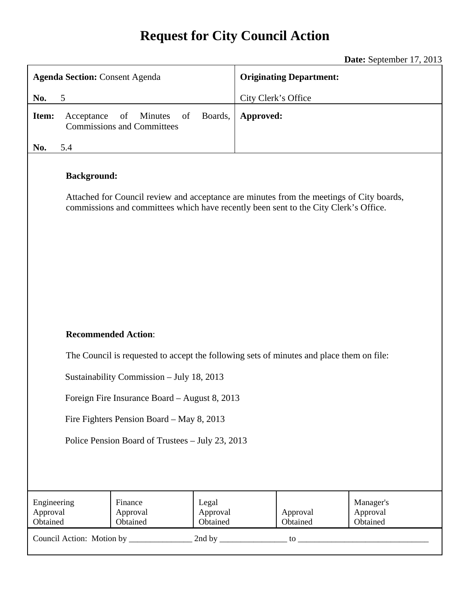# **Request for City Council Action**

**Date:** September 17, 2013

| <b>Agenda Section: Consent Agenda</b>            |                                                                                          |                                                                                                                                                                                  |                               | <b>Originating Department:</b> |                      |                                   |  |
|--------------------------------------------------|------------------------------------------------------------------------------------------|----------------------------------------------------------------------------------------------------------------------------------------------------------------------------------|-------------------------------|--------------------------------|----------------------|-----------------------------------|--|
| No.                                              | 5                                                                                        |                                                                                                                                                                                  |                               | City Clerk's Office            |                      |                                   |  |
| Item:                                            | Acceptance                                                                               | of<br>of<br>Minutes<br><b>Commissions and Committees</b>                                                                                                                         | Boards,                       | Approved:                      |                      |                                   |  |
| No.                                              | 5.4                                                                                      |                                                                                                                                                                                  |                               |                                |                      |                                   |  |
|                                                  | <b>Background:</b>                                                                       | Attached for Council review and acceptance are minutes from the meetings of City boards,<br>commissions and committees which have recently been sent to the City Clerk's Office. |                               |                                |                      |                                   |  |
|                                                  | <b>Recommended Action:</b>                                                               |                                                                                                                                                                                  |                               |                                |                      |                                   |  |
|                                                  | The Council is requested to accept the following sets of minutes and place them on file: |                                                                                                                                                                                  |                               |                                |                      |                                   |  |
|                                                  | Sustainability Commission - July 18, 2013                                                |                                                                                                                                                                                  |                               |                                |                      |                                   |  |
|                                                  | Foreign Fire Insurance Board - August 8, 2013                                            |                                                                                                                                                                                  |                               |                                |                      |                                   |  |
|                                                  | Fire Fighters Pension Board – May 8, 2013                                                |                                                                                                                                                                                  |                               |                                |                      |                                   |  |
| Police Pension Board of Trustees - July 23, 2013 |                                                                                          |                                                                                                                                                                                  |                               |                                |                      |                                   |  |
|                                                  |                                                                                          |                                                                                                                                                                                  |                               |                                |                      |                                   |  |
| Engineering<br>Approval<br>Obtained              |                                                                                          | Finance<br>Approval<br>Obtained                                                                                                                                                  | Legal<br>Approval<br>Obtained |                                | Approval<br>Obtained | Manager's<br>Approval<br>Obtained |  |
|                                                  |                                                                                          |                                                                                                                                                                                  |                               |                                |                      |                                   |  |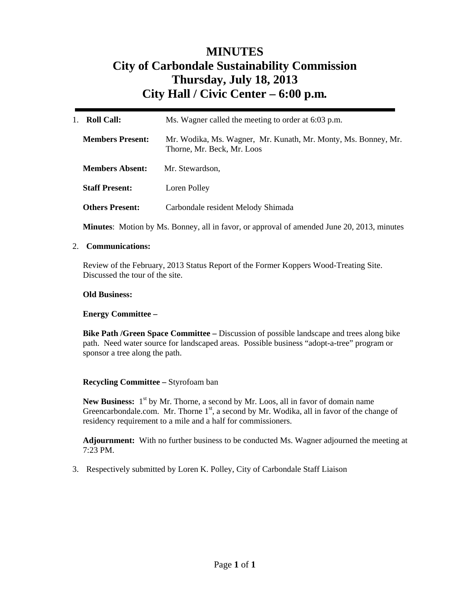## **MINUTES City of Carbondale Sustainability Commission Thursday, July 18, 2013 City Hall / Civic Center – 6:00 p.m***.*

| Roll Call:<br>$1_{-}$   | Ms. Wagner called the meeting to order at 6:03 p.m.                                          |  |
|-------------------------|----------------------------------------------------------------------------------------------|--|
| <b>Members Present:</b> | Mr. Wodika, Ms. Wagner, Mr. Kunath, Mr. Monty, Ms. Bonney, Mr.<br>Thorne, Mr. Beck, Mr. Loos |  |
| <b>Members Absent:</b>  | Mr. Stewardson,                                                                              |  |
| <b>Staff Present:</b>   | Loren Polley                                                                                 |  |
| <b>Others Present:</b>  | Carbondale resident Melody Shimada                                                           |  |
|                         |                                                                                              |  |

**Minutes**: Motion by Ms. Bonney, all in favor, or approval of amended June 20, 2013, minutes

### 2. **Communications:**

Review of the February, 2013 Status Report of the Former Koppers Wood-Treating Site. Discussed the tour of the site.

#### **Old Business:**

#### **Energy Committee –**

**Bike Path /Green Space Committee –** Discussion of possible landscape and trees along bike path. Need water source for landscaped areas. Possible business "adopt-a-tree" program or sponsor a tree along the path.

#### **Recycling Committee –** Styrofoam ban

**New Business:** 1<sup>st</sup> by Mr. Thorne, a second by Mr. Loos, all in favor of domain name Greencarbondale.com. Mr. Thorne  $1<sup>st</sup>$ , a second by Mr. Wodika, all in favor of the change of residency requirement to a mile and a half for commissioners.

**Adjournment:** With no further business to be conducted Ms. Wagner adjourned the meeting at 7:23 PM.

3. Respectively submitted by Loren K. Polley, City of Carbondale Staff Liaison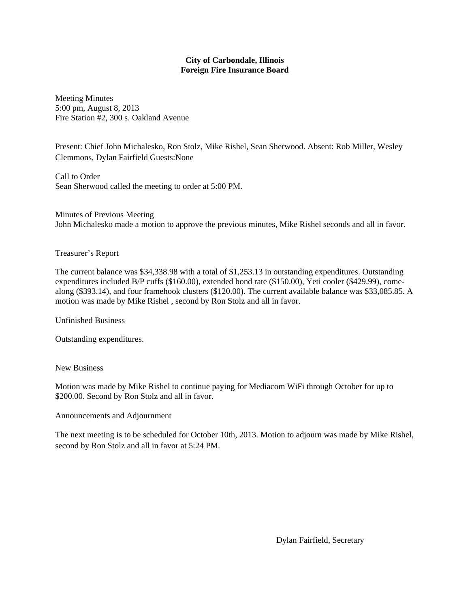#### **City of Carbondale, Illinois Foreign Fire Insurance Board**

Meeting Minutes 5:00 pm, August 8, 2013 Fire Station #2, 300 s. Oakland Avenue

Present: Chief John Michalesko, Ron Stolz, Mike Rishel, Sean Sherwood. Absent: Rob Miller, Wesley Clemmons, Dylan Fairfield Guests:None

Call to Order Sean Sherwood called the meeting to order at 5:00 PM.

Minutes of Previous Meeting John Michalesko made a motion to approve the previous minutes, Mike Rishel seconds and all in favor.

#### Treasurer's Report

The current balance was \$34,338.98 with a total of \$1,253.13 in outstanding expenditures. Outstanding expenditures included B/P cuffs (\$160.00), extended bond rate (\$150.00), Yeti cooler (\$429.99), comealong (\$393.14), and four framehook clusters (\$120.00). The current available balance was \$33,085.85. A motion was made by Mike Rishel , second by Ron Stolz and all in favor.

Unfinished Business

Outstanding expenditures.

#### New Business

Motion was made by Mike Rishel to continue paying for Mediacom WiFi through October for up to \$200.00. Second by Ron Stolz and all in favor.

#### Announcements and Adjournment

The next meeting is to be scheduled for October 10th, 2013. Motion to adjourn was made by Mike Rishel, second by Ron Stolz and all in favor at 5:24 PM.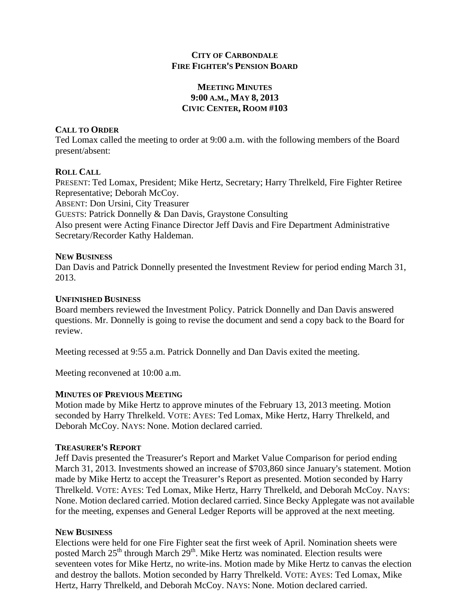## **CITY OF CARBONDALE FIRE FIGHTER'S PENSION BOARD**

## **MEETING MINUTES 9:00 A.M., MAY 8, 2013 CIVIC CENTER, ROOM #103**

## **CALL TO ORDER**

Ted Lomax called the meeting to order at 9:00 a.m. with the following members of the Board present/absent:

## **ROLL CALL**

PRESENT: Ted Lomax, President; Mike Hertz, Secretary; Harry Threlkeld, Fire Fighter Retiree Representative; Deborah McCoy. ABSENT: Don Ursini, City Treasurer GUESTS: Patrick Donnelly & Dan Davis, Graystone Consulting Also present were Acting Finance Director Jeff Davis and Fire Department Administrative Secretary/Recorder Kathy Haldeman.

## **NEW BUSINESS**

Dan Davis and Patrick Donnelly presented the Investment Review for period ending March 31, 2013.

## **UNFINISHED BUSINESS**

Board members reviewed the Investment Policy. Patrick Donnelly and Dan Davis answered questions. Mr. Donnelly is going to revise the document and send a copy back to the Board for review.

Meeting recessed at 9:55 a.m. Patrick Donnelly and Dan Davis exited the meeting.

Meeting reconvened at 10:00 a.m.

## **MINUTES OF PREVIOUS MEETING**

Motion made by Mike Hertz to approve minutes of the February 13, 2013 meeting. Motion seconded by Harry Threlkeld. VOTE: AYES: Ted Lomax, Mike Hertz, Harry Threlkeld, and Deborah McCoy. NAYS: None. Motion declared carried.

## **TREASURER**=**S REPORT**

Jeff Davis presented the Treasurer's Report and Market Value Comparison for period ending March 31, 2013. Investments showed an increase of \$703,860 since January's statement. Motion made by Mike Hertz to accept the Treasurer's Report as presented. Motion seconded by Harry Threlkeld. VOTE: AYES: Ted Lomax, Mike Hertz, Harry Threlkeld, and Deborah McCoy. NAYS: None. Motion declared carried. Motion declared carried. Since Becky Applegate was not available for the meeting, expenses and General Ledger Reports will be approved at the next meeting.

## **NEW BUSINESS**

Elections were held for one Fire Fighter seat the first week of April. Nomination sheets were posted March  $25<sup>th</sup>$  through March  $29<sup>th</sup>$ . Mike Hertz was nominated. Election results were seventeen votes for Mike Hertz, no write-ins. Motion made by Mike Hertz to canvas the election and destroy the ballots. Motion seconded by Harry Threlkeld. VOTE: AYES: Ted Lomax, Mike Hertz, Harry Threlkeld, and Deborah McCoy. NAYS: None. Motion declared carried.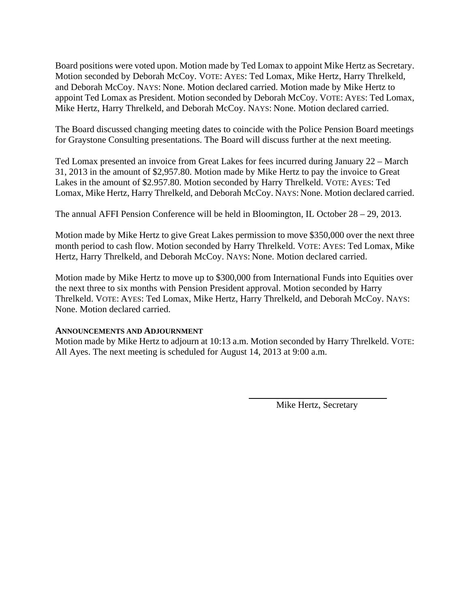Board positions were voted upon. Motion made by Ted Lomax to appoint Mike Hertz as Secretary. Motion seconded by Deborah McCoy. VOTE: AYES: Ted Lomax, Mike Hertz, Harry Threlkeld, and Deborah McCoy. NAYS: None. Motion declared carried. Motion made by Mike Hertz to appoint Ted Lomax as President. Motion seconded by Deborah McCoy. VOTE: AYES: Ted Lomax, Mike Hertz, Harry Threlkeld, and Deborah McCoy. NAYS: None. Motion declared carried.

The Board discussed changing meeting dates to coincide with the Police Pension Board meetings for Graystone Consulting presentations. The Board will discuss further at the next meeting.

Ted Lomax presented an invoice from Great Lakes for fees incurred during January 22 – March 31, 2013 in the amount of \$2,957.80. Motion made by Mike Hertz to pay the invoice to Great Lakes in the amount of \$2.957.80. Motion seconded by Harry Threlkeld. VOTE: AYES: Ted Lomax, Mike Hertz, Harry Threlkeld, and Deborah McCoy. NAYS: None. Motion declared carried.

The annual AFFI Pension Conference will be held in Bloomington, IL October 28 – 29, 2013.

Motion made by Mike Hertz to give Great Lakes permission to move \$350,000 over the next three month period to cash flow. Motion seconded by Harry Threlkeld. VOTE: AYES: Ted Lomax, Mike Hertz, Harry Threlkeld, and Deborah McCoy. NAYS: None. Motion declared carried.

Motion made by Mike Hertz to move up to \$300,000 from International Funds into Equities over the next three to six months with Pension President approval. Motion seconded by Harry Threlkeld. VOTE: AYES: Ted Lomax, Mike Hertz, Harry Threlkeld, and Deborah McCoy. NAYS: None. Motion declared carried.

## **ANNOUNCEMENTS AND ADJOURNMENT**

Motion made by Mike Hertz to adjourn at 10:13 a.m. Motion seconded by Harry Threlkeld. VOTE: All Ayes. The next meeting is scheduled for August 14, 2013 at 9:00 a.m.

Mike Hertz, Secretary